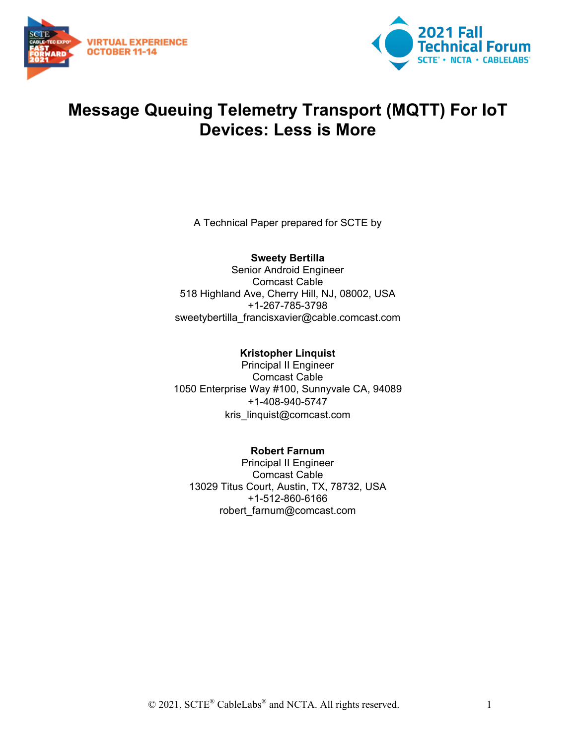



# **Message Queuing Telemetry Transport (MQTT) For IoT Devices: Less is More**

A Technical Paper prepared for SCTE by

**Sweety Bertilla** Senior Android Engineer Comcast Cable 518 Highland Ave, Cherry Hill, NJ, 08002, USA +1-267-785-3798 sweetybertilla\_francisxavier@cable.comcast.com

**Kristopher Linquist** Principal II Engineer Comcast Cable 1050 Enterprise Way #100, Sunnyvale CA, 94089 +1-408-940-5747 kris\_linquist@comcast.com

**Robert Farnum** Principal II Engineer Comcast Cable 13029 Titus Court, Austin, TX, 78732, USA +1-512-860-6166 robert\_farnum@comcast.com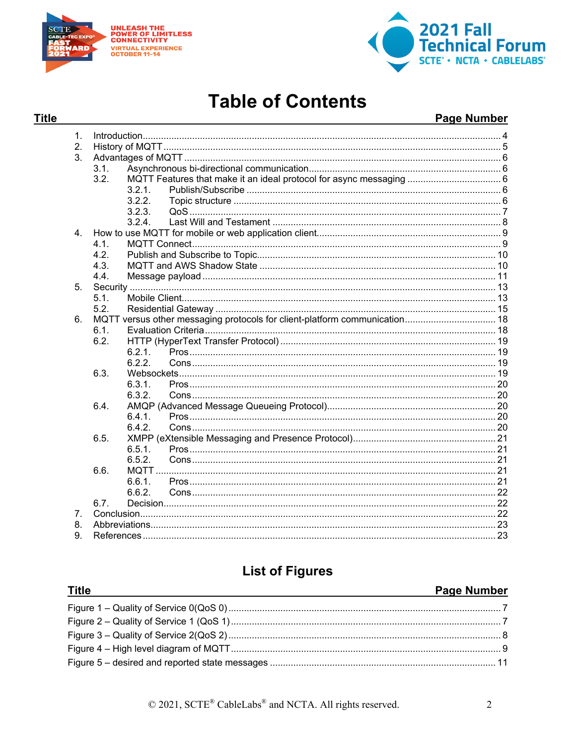

**Title** 



# **Table of Contents**

#### **Page Number**

| 1.                             |      |                                                                            |  |  |  |
|--------------------------------|------|----------------------------------------------------------------------------|--|--|--|
| 2.                             |      |                                                                            |  |  |  |
| 3 <sub>1</sub>                 |      |                                                                            |  |  |  |
|                                | 3.1. |                                                                            |  |  |  |
|                                | 3.2. |                                                                            |  |  |  |
|                                |      | 3.2.1.                                                                     |  |  |  |
|                                |      | 3.2.2.                                                                     |  |  |  |
|                                |      | 3.2.3.                                                                     |  |  |  |
|                                |      | 3.2.4                                                                      |  |  |  |
| 4 <sub>1</sub>                 |      |                                                                            |  |  |  |
|                                | 4.1. |                                                                            |  |  |  |
|                                | 4.2. |                                                                            |  |  |  |
|                                | 4.3. |                                                                            |  |  |  |
|                                | 4.4. |                                                                            |  |  |  |
| 5.                             |      |                                                                            |  |  |  |
|                                | 5.1. |                                                                            |  |  |  |
|                                | 5.2. |                                                                            |  |  |  |
| 6.                             |      | MQTT versus other messaging protocols for client-platform communication 18 |  |  |  |
|                                | 6.1. |                                                                            |  |  |  |
|                                | 6.2. |                                                                            |  |  |  |
|                                |      | 6.2.1.                                                                     |  |  |  |
|                                |      | 6.2.2.                                                                     |  |  |  |
|                                | 6.3. |                                                                            |  |  |  |
|                                |      | 6.3.1.                                                                     |  |  |  |
|                                |      | 6.3.2.                                                                     |  |  |  |
|                                | 6.4. |                                                                            |  |  |  |
|                                |      | 6.4.1.                                                                     |  |  |  |
|                                |      | 6.4.2.                                                                     |  |  |  |
|                                | 6.5. |                                                                            |  |  |  |
|                                |      | 6.5.1                                                                      |  |  |  |
|                                |      | 6.5.2.                                                                     |  |  |  |
|                                | 6.6. |                                                                            |  |  |  |
|                                |      | 6.6.1.                                                                     |  |  |  |
|                                |      | 6.6.2.                                                                     |  |  |  |
|                                | 6.7. |                                                                            |  |  |  |
| $7_{\scriptscriptstyle{\sim}}$ |      |                                                                            |  |  |  |
| 8.                             |      |                                                                            |  |  |  |
| 9.                             |      |                                                                            |  |  |  |

## **List of Figures**

#### **Title Page Number**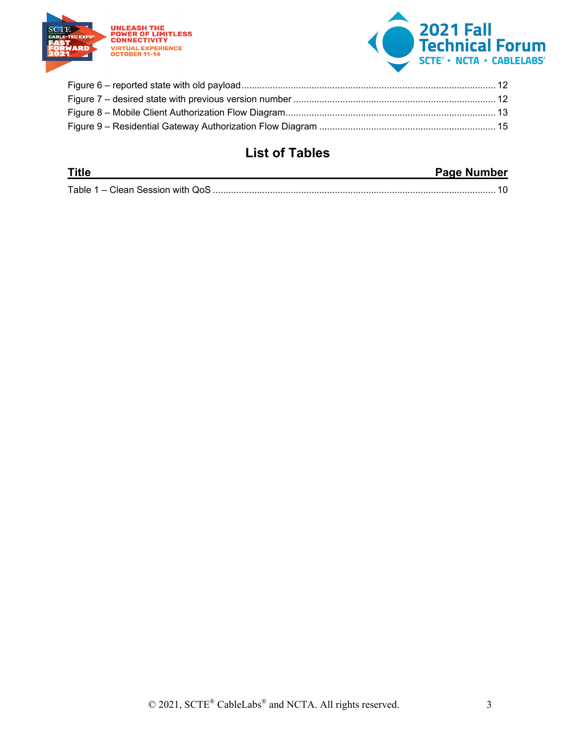



# **List of Tables**

| <b>Title</b> | <b>Page Number</b> |
|--------------|--------------------|
|              |                    |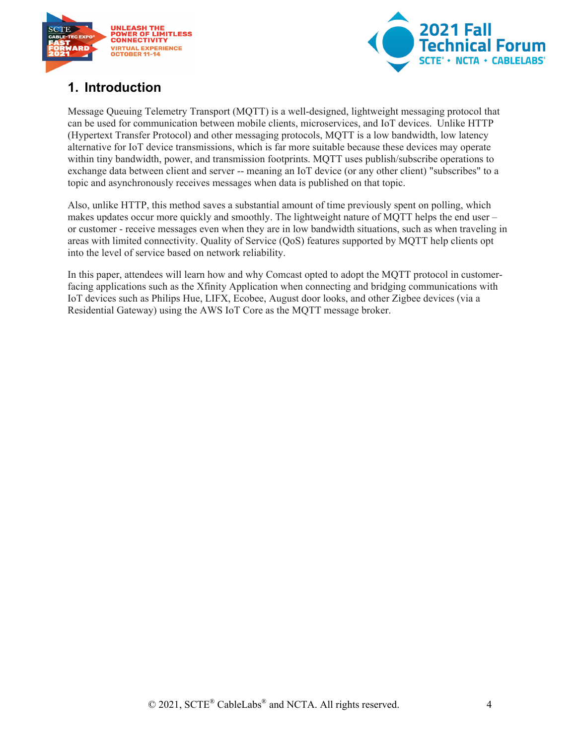



# <span id="page-3-0"></span>**1. Introduction**

Message Queuing Telemetry Transport (MQTT) is a well-designed, lightweight messaging protocol that can be used for communication between mobile clients, microservices, and IoT devices. Unlike HTTP (Hypertext Transfer Protocol) and other messaging protocols, MQTT is a low bandwidth, low latency alternative for IoT device transmissions, which is far more suitable because these devices may operate within tiny bandwidth, power, and transmission footprints. MQTT uses publish/subscribe operations to exchange data between client and server -- meaning an IoT device (or any other client) "subscribes" to a topic and asynchronously receives messages when data is published on that topic.

Also, unlike HTTP, this method saves a substantial amount of time previously spent on polling, which makes updates occur more quickly and smoothly. The lightweight nature of MQTT helps the end user – or customer - receive messages even when they are in low bandwidth situations, such as when traveling in areas with limited connectivity. Quality of Service (QoS) features supported by MQTT help clients opt into the level of service based on network reliability.

In this paper, attendees will learn how and why Comcast opted to adopt the MQTT protocol in customerfacing applications such as the Xfinity Application when connecting and bridging communications with IoT devices such as Philips Hue, LIFX, Ecobee, August door looks, and other Zigbee devices (via a Residential Gateway) using the AWS IoT Core as the MQTT message broker.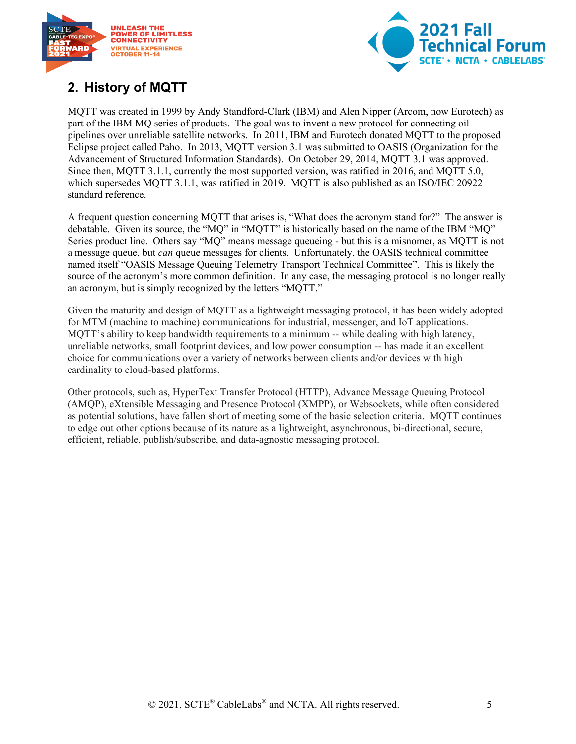



# <span id="page-4-0"></span>**2. History of MQTT**

MQTT was created in 1999 by Andy Standford-Clark (IBM) and Alen Nipper (Arcom, now Eurotech) as part of the IBM MQ series of products. The goal was to invent a new protocol for connecting oil pipelines over unreliable satellite networks. In 2011, IBM and Eurotech donated MQTT to the proposed Eclipse project called Paho. In 2013, MQTT version 3.1 was submitted to OASIS (Organization for the Advancement of Structured Information Standards). On October 29, 2014, MQTT 3.1 was approved. Since then, MQTT 3.1.1, currently the most supported version, was ratified in 2016, and MQTT 5.0, which supersedes MOTT 3.1.1, was ratified in 2019. MOTT is also published as an ISO/IEC 20922 standard reference.

A frequent question concerning MQTT that arises is, "What does the acronym stand for?" The answer is debatable. Given its source, the "MQ" in "MQTT" is historically based on the name of the IBM "MQ" Series product line. Others say "MQ" means message queueing - but this is a misnomer, as MQTT is not a message queue, but *can* queue messages for clients. Unfortunately, the OASIS technical committee named itself "OASIS Message Queuing Telemetry Transport Technical Committee". This is likely the source of the acronym's more common definition. In any case, the messaging protocol is no longer really an acronym, but is simply recognized by the letters "MQTT."

Given the maturity and design of MQTT as a lightweight messaging protocol, it has been widely adopted for MTM (machine to machine) communications for industrial, messenger, and IoT applications. MQTT's ability to keep bandwidth requirements to a minimum -- while dealing with high latency, unreliable networks, small footprint devices, and low power consumption -- has made it an excellent choice for communications over a variety of networks between clients and/or devices with high cardinality to cloud-based platforms.

Other protocols, such as, HyperText Transfer Protocol (HTTP), Advance Message Queuing Protocol (AMQP), eXtensible Messaging and Presence Protocol (XMPP), or Websockets, while often considered as potential solutions, have fallen short of meeting some of the basic selection criteria. MQTT continues to edge out other options because of its nature as a lightweight, asynchronous, bi-directional, secure, efficient, reliable, publish/subscribe, and data-agnostic messaging protocol.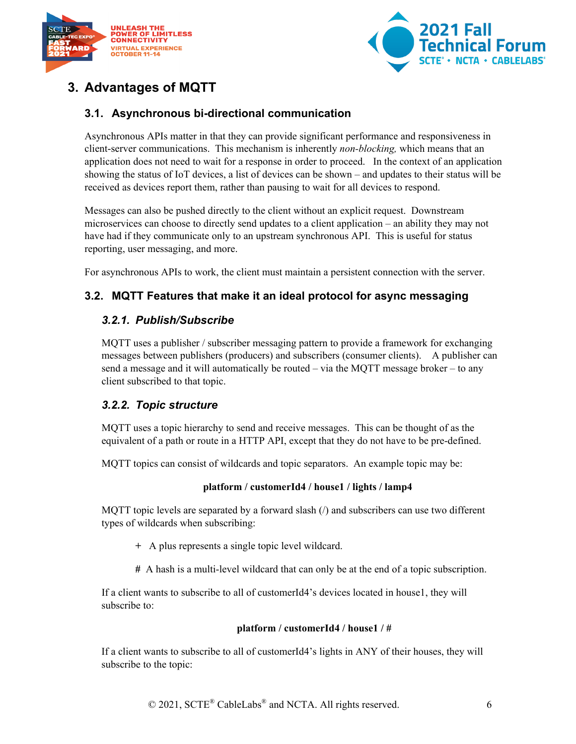



# <span id="page-5-0"></span>**3. Advantages of MQTT**

### <span id="page-5-1"></span>**3.1. Asynchronous bi-directional communication**

Asynchronous APIs matter in that they can provide significant performance and responsiveness in client-server communications. This mechanism is inherently *non-blocking,* which means that an application does not need to wait for a response in order to proceed. In the context of an application showing the status of IoT devices, a list of devices can be shown – and updates to their status will be received as devices report them, rather than pausing to wait for all devices to respond.

Messages can also be pushed directly to the client without an explicit request. Downstream microservices can choose to directly send updates to a client application – an ability they may not have had if they communicate only to an upstream synchronous API. This is useful for status reporting, user messaging, and more.

For asynchronous APIs to work, the client must maintain a persistent connection with the server.

#### <span id="page-5-3"></span><span id="page-5-2"></span>**3.2. MQTT Features that make it an ideal protocol for async messaging**

#### *3.2.1. Publish/Subscribe*

MQTT uses a publisher / subscriber messaging pattern to provide a framework for exchanging messages between publishers (producers) and subscribers (consumer clients). A publisher can send a message and it will automatically be routed – via the MQTT message broker – to any client subscribed to that topic.

#### <span id="page-5-4"></span>*3.2.2. Topic structure*

MQTT uses a topic hierarchy to send and receive messages. This can be thought of as the equivalent of a path or route in a HTTP API, except that they do not have to be pre-defined.

MQTT topics can consist of wildcards and topic separators. An example topic may be:

#### **platform / customerId4 / house1 / lights / lamp4**

MQTT topic levels are separated by a forward slash  $\ell$  and subscribers can use two different types of wildcards when subscribing:

- **+** A plus represents a single topic level wildcard.
- **#** A hash is a multi-level wildcard that can only be at the end of a topic subscription.

If a client wants to subscribe to all of customerId4's devices located in house1, they will subscribe to:

#### **platform / customerId4 / house1 / #**

If a client wants to subscribe to all of customerId4's lights in ANY of their houses, they will subscribe to the topic: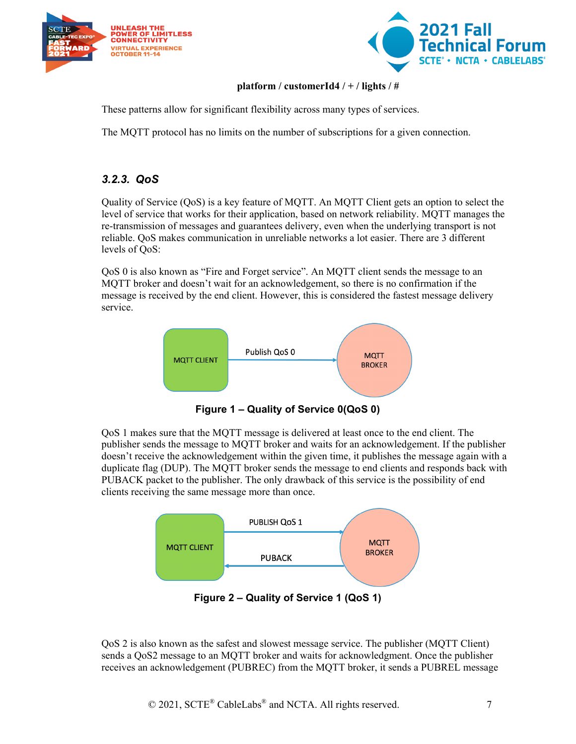



#### **platform / customerId4 / + / lights / #**

These patterns allow for significant flexibility across many types of services.

The MQTT protocol has no limits on the number of subscriptions for a given connection.

### <span id="page-6-0"></span>*3.2.3. QoS*

Quality of Service (QoS) is a key feature of MQTT. An MQTT Client gets an option to select the level of service that works for their application, based on network reliability. MQTT manages the re-transmission of messages and guarantees delivery, even when the underlying transport is not reliable. QoS makes communication in unreliable networks a lot easier. There are 3 different levels of QoS:

QoS 0 is also known as "Fire and Forget service". An MQTT client sends the message to an MQTT broker and doesn't wait for an acknowledgement, so there is no confirmation if the message is received by the end client. However, this is considered the fastest message delivery service.



**Figure 1 – Quality of Service 0(QoS 0)**

<span id="page-6-1"></span>QoS 1 makes sure that the MQTT message is delivered at least once to the end client. The publisher sends the message to MQTT broker and waits for an acknowledgement. If the publisher doesn't receive the acknowledgement within the given time, it publishes the message again with a duplicate flag (DUP). The MQTT broker sends the message to end clients and responds back with PUBACK packet to the publisher. The only drawback of this service is the possibility of end clients receiving the same message more than once.



**Figure 2 – Quality of Service 1 (QoS 1)**

<span id="page-6-2"></span>QoS 2 is also known as the safest and slowest message service. The publisher (MQTT Client) sends a QoS2 message to an MQTT broker and waits for acknowledgment. Once the publisher receives an acknowledgement (PUBREC) from the MQTT broker, it sends a PUBREL message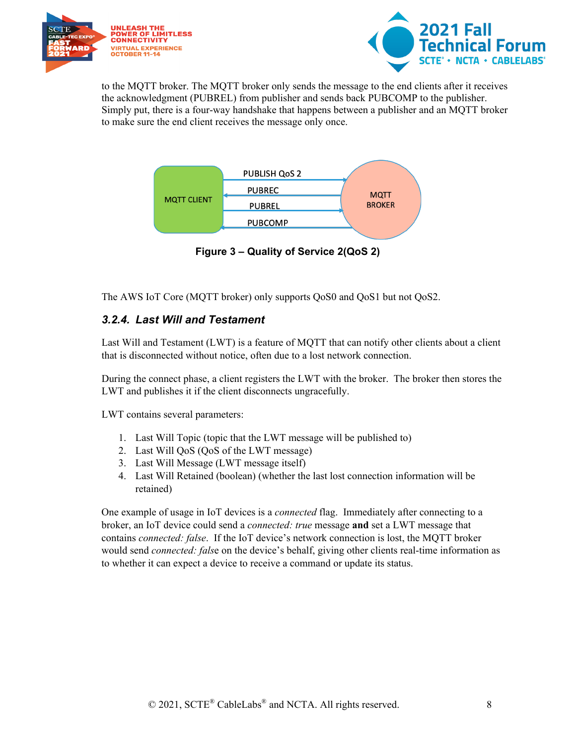



to the MQTT broker. The MQTT broker only sends the message to the end clients after it receives the acknowledgment (PUBREL) from publisher and sends back PUBCOMP to the publisher. Simply put, there is a four-way handshake that happens between a publisher and an MQTT broker to make sure the end client receives the message only once.



**Figure 3 – Quality of Service 2(QoS 2)**

<span id="page-7-1"></span><span id="page-7-0"></span>The AWS IoT Core (MQTT broker) only supports QoS0 and QoS1 but not QoS2.

#### *3.2.4. Last Will and Testament*

Last Will and Testament (LWT) is a feature of MQTT that can notify other clients about a client that is disconnected without notice, often due to a lost network connection.

During the connect phase, a client registers the LWT with the broker. The broker then stores the LWT and publishes it if the client disconnects ungracefully.

LWT contains several parameters:

- 1. Last Will Topic (topic that the LWT message will be published to)
- 2. Last Will QoS (QoS of the LWT message)
- 3. Last Will Message (LWT message itself)
- 4. Last Will Retained (boolean) (whether the last lost connection information will be retained)

One example of usage in IoT devices is a *connected* flag. Immediately after connecting to a broker, an IoT device could send a *connected: true* message **and** set a LWT message that contains *connected: false*. If the IoT device's network connection is lost, the MQTT broker would send *connected: fals*e on the device's behalf, giving other clients real-time information as to whether it can expect a device to receive a command or update its status.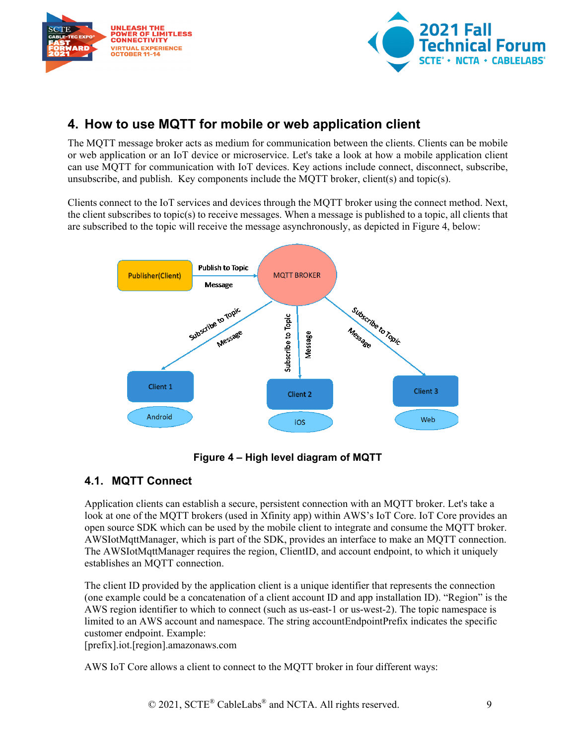



# <span id="page-8-0"></span>**4. How to use MQTT for mobile or web application client**

The MQTT message broker acts as medium for communication between the clients. Clients can be mobile or web application or an IoT device or microservice. Let's take a look at how a mobile application client can use MQTT for communication with IoT devices. Key actions include connect, disconnect, subscribe, unsubscribe, and publish. Key components include the MQTT broker, client(s) and topic(s).

Clients connect to the IoT services and devices through the MQTT broker using the connect method. Next, the client subscribes to topic(s) to receive messages. When a message is published to a topic, all clients that are subscribed to the topic will receive the message asynchronously, as depicted in Figure 4, below:



### **Figure 4 – High level diagram of MQTT**

### <span id="page-8-2"></span><span id="page-8-1"></span>**4.1. MQTT Connect**

Application clients can establish a secure, persistent connection with an MQTT broker. Let's take a look at one of the MQTT brokers (used in Xfinity app) within AWS's IoT Core. IoT Core provides an open source SDK which can be used by the mobile client to integrate and consume the MQTT broker. AWSIotMqttManager, which is part of the SDK, provides an interface to make an MQTT connection. The AWSIotMqttManager requires the region, ClientID, and account endpoint, to which it uniquely establishes an MQTT connection.

The client ID provided by the application client is a unique identifier that represents the connection (one example could be a concatenation of a client account ID and app installation ID). "Region" is the AWS region identifier to which to connect (such as us-east-1 or us-west-2). The topic namespace is limited to an AWS account and namespace. The string accountEndpointPrefix indicates the specific customer endpoint. Example:

[prefix].iot.[region].amazonaws.com

AWS IoT Core allows a client to connect to the MQTT broker in four different ways: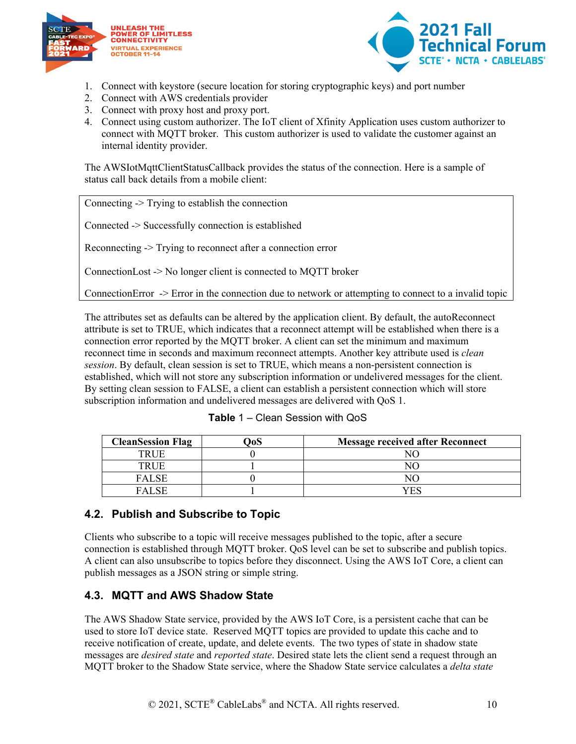



- 1. Connect with keystore (secure location for storing cryptographic keys) and port number
- 2. Connect with AWS credentials provider
- 3. Connect with proxy host and proxy port.
- 4. Connect using custom authorizer. The IoT client of Xfinity Application uses custom authorizer to connect with MQTT broker. This custom authorizer is used to validate the customer against an internal identity provider.

The AWSIotMqttClientStatusCallback provides the status of the connection. Here is a sample of status call back details from a mobile client:

Connecting -> Trying to establish the connection

Connected -> Successfully connection is established

Reconnecting -> Trying to reconnect after a connection error

ConnectionLost -> No longer client is connected to MQTT broker

ConnectionError -> Error in the connection due to network or attempting to connect to a invalid topic

The attributes set as defaults can be altered by the application client. By default, the autoReconnect attribute is set to TRUE, which indicates that a reconnect attempt will be established when there is a connection error reported by the MQTT broker. A client can set the minimum and maximum reconnect time in seconds and maximum reconnect attempts. Another key attribute used is *clean session*. By default, clean session is set to TRUE, which means a non-persistent connection is established, which will not store any subscription information or undelivered messages for the client. By setting clean session to FALSE, a client can establish a persistent connection which will store subscription information and undelivered messages are delivered with QoS 1.

<span id="page-9-2"></span>

| <b>CleanSession Flag</b> | <b>Message received after Reconnect</b> |
|--------------------------|-----------------------------------------|
| TRUE                     |                                         |
| TRUE                     |                                         |
| <b>FALSE</b>             |                                         |
| <b>FALSE</b>             | ΈS                                      |

| Table 1 – Clean Session with QoS |  |  |  |
|----------------------------------|--|--|--|
|----------------------------------|--|--|--|

### <span id="page-9-0"></span>**4.2. Publish and Subscribe to Topic**

Clients who subscribe to a topic will receive messages published to the topic, after a secure connection is established through MQTT broker. QoS level can be set to subscribe and publish topics. A client can also unsubscribe to topics before they disconnect. Using the AWS IoT Core, a client can publish messages as a JSON string or simple string.

### <span id="page-9-1"></span>**4.3. MQTT and AWS Shadow State**

The AWS Shadow State service, provided by the AWS IoT Core, is a persistent cache that can be used to store IoT device state. Reserved MQTT topics are provided to update this cache and to receive notification of create, update, and delete events. The two types of state in shadow state messages are *desired state* and *reported state*. Desired state lets the client send a request through an MQTT broker to the Shadow State service, where the Shadow State service calculates a *delta state*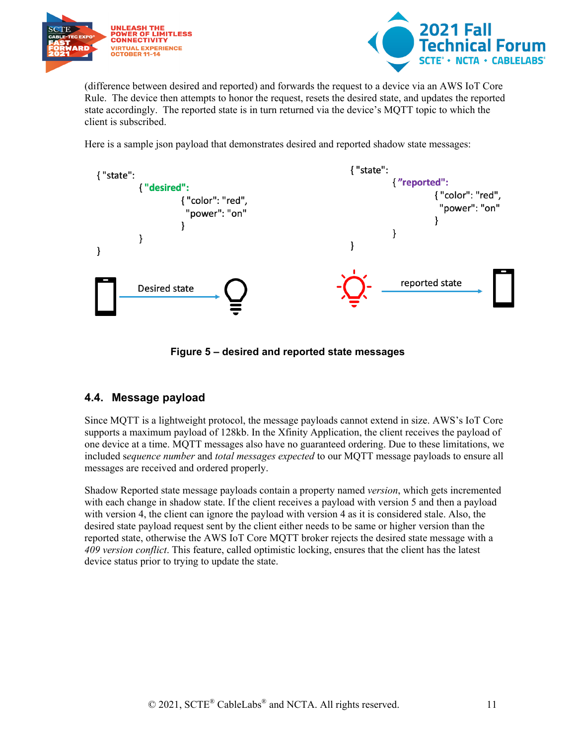



(difference between desired and reported) and forwards the request to a device via an AWS IoT Core Rule. The device then attempts to honor the request, resets the desired state, and updates the reported state accordingly. The reported state is in turn returned via the device's MQTT topic to which the client is subscribed.

Here is a sample json payload that demonstrates desired and reported shadow state messages:



**Figure 5 – desired and reported state messages**

### <span id="page-10-1"></span><span id="page-10-0"></span>**4.4. Message payload**

Since MQTT is a lightweight protocol, the message payloads cannot extend in size. AWS's IoT Core supports a maximum payload of 128kb. In the Xfinity Application, the client receives the payload of one device at a time. MQTT messages also have no guaranteed ordering. Due to these limitations, we included s*equence number* and *total messages expected* to our MQTT message payloads to ensure all messages are received and ordered properly.

Shadow Reported state message payloads contain a property named *version*, which gets incremented with each change in shadow state. If the client receives a payload with version 5 and then a payload with version 4, the client can ignore the payload with version 4 as it is considered stale. Also, the desired state payload request sent by the client either needs to be same or higher version than the reported state, otherwise the AWS IoT Core MQTT broker rejects the desired state message with a *409 version conflict*. This feature, called optimistic locking, ensures that the client has the latest device status prior to trying to update the state.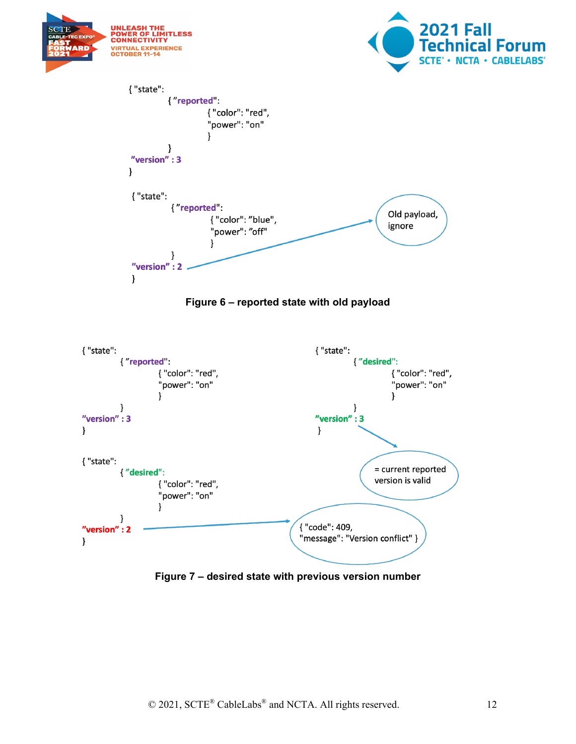<span id="page-11-0"></span>

<span id="page-11-1"></span>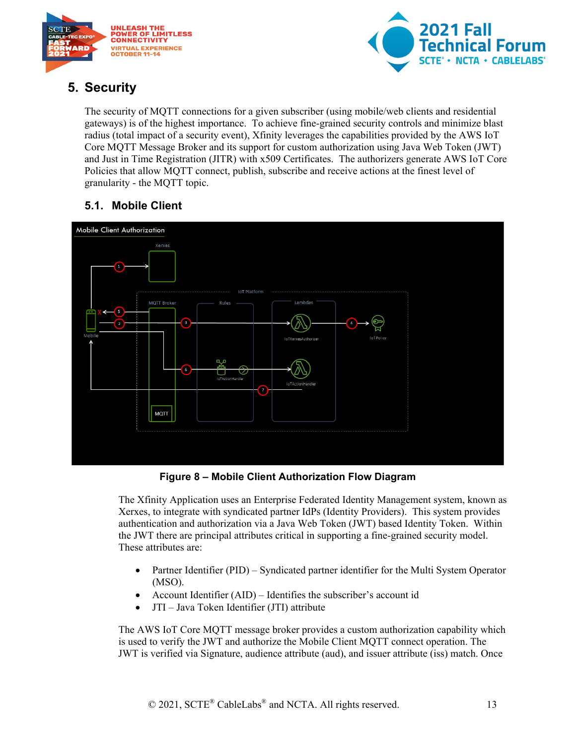



# <span id="page-12-0"></span>**5. Security**

The security of MQTT connections for a given subscriber (using mobile/web clients and residential gateways) is of the highest importance. To achieve fine-grained security controls and minimize blast radius (total impact of a security event), Xfinity leverages the capabilities provided by the AWS IoT Core MQTT Message Broker and its support for custom authorization using Java Web Token (JWT) and Just in Time Registration (JITR) with x509 Certificates. The authorizers generate AWS IoT Core Policies that allow MQTT connect, publish, subscribe and receive actions at the finest level of granularity - the MQTT topic.

# <span id="page-12-1"></span>**5.1. Mobile Client**



**Figure 8 – Mobile Client Authorization Flow Diagram**

<span id="page-12-2"></span>The Xfinity Application uses an Enterprise Federated Identity Management system, known as Xerxes, to integrate with syndicated partner IdPs (Identity Providers). This system provides authentication and authorization via a Java Web Token (JWT) based Identity Token. Within the JWT there are principal attributes critical in supporting a fine-grained security model. These attributes are:

- Partner Identifier (PID) Syndicated partner identifier for the Multi System Operator (MSO).
- Account Identifier (AID) Identifies the subscriber's account id
- JTI Java Token Identifier (JTI) attribute

The AWS IoT Core MQTT message broker provides a custom authorization capability which is used to verify the JWT and authorize the Mobile Client MQTT connect operation. The JWT is verified via Signature, audience attribute (aud), and issuer attribute (iss) match. Once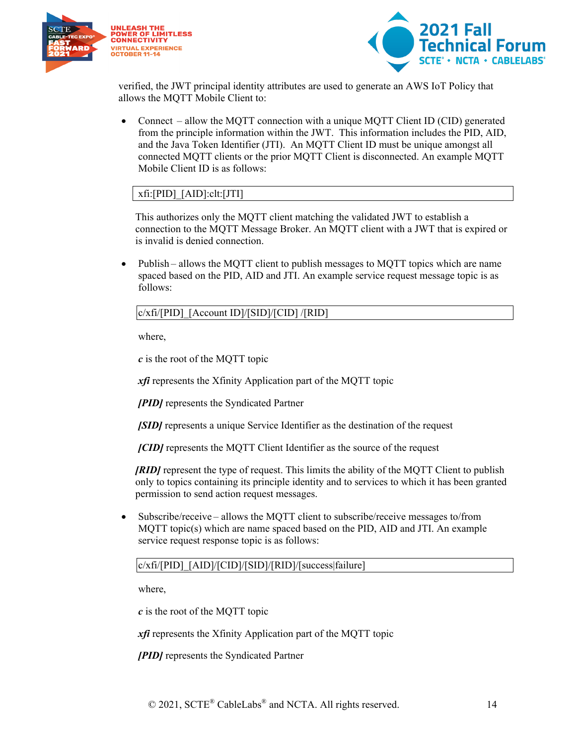



verified, the JWT principal identity attributes are used to generate an AWS IoT Policy that allows the MQTT Mobile Client to:

• Connect – allow the MOTT connection with a unique MOTT Client ID (CID) generated from the principle information within the JWT. This information includes the PID, AID, and the Java Token Identifier (JTI). An MQTT Client ID must be unique amongst all connected MQTT clients or the prior MQTT Client is disconnected. An example MQTT Mobile Client ID is as follows:

#### xfi:[PID]\_[AID]:clt:[JTI]

This authorizes only the MQTT client matching the validated JWT to establish a connection to the MQTT Message Broker. An MQTT client with a JWT that is expired or is invalid is denied connection.

• Publish – allows the MQTT client to publish messages to MQTT topics which are name spaced based on the PID, AID and JTI. An example service request message topic is as follows:

#### c/xfi/[PID]\_[Account ID]/[SID]/[CID] /[RID]

where,

*c* is the root of the MQTT topic

*xfi* represents the Xfinity Application part of the MQTT topic

*[PID]* represents the Syndicated Partner

*[SID]* represents a unique Service Identifier as the destination of the request

*[CID]* represents the MQTT Client Identifier as the source of the request

*[RID]* represent the type of request. This limits the ability of the MQTT Client to publish only to topics containing its principle identity and to services to which it has been granted permission to send action request messages.

• Subscribe/receive – allows the MQTT client to subscribe/receive messages to/from MQTT topic(s) which are name spaced based on the PID, AID and JTI. An example service request response topic is as follows:

#### c/xfi/[PID]\_[AID]/[CID]/[SID]/[RID]/[success|failure]

where,

*c* is the root of the MQTT topic

*xfi* represents the Xfinity Application part of the MQTT topic

*[PID]* represents the Syndicated Partner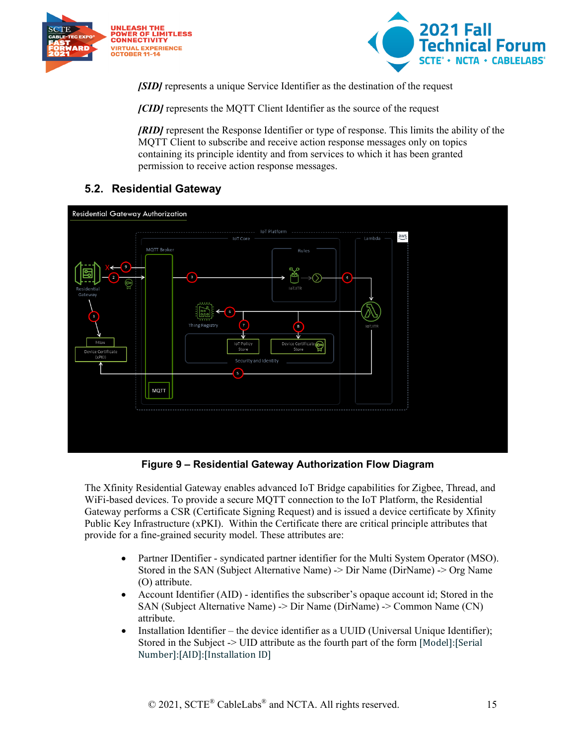



*[SID]* represents a unique Service Identifier as the destination of the request

*[CID]* represents the MQTT Client Identifier as the source of the request

*[RID]* represent the Response Identifier or type of response. This limits the ability of the MQTT Client to subscribe and receive action response messages only on topics containing its principle identity and from services to which it has been granted permission to receive action response messages.

### <span id="page-14-0"></span>**5.2. Residential Gateway**



**Figure 9 – Residential Gateway Authorization Flow Diagram**

<span id="page-14-1"></span>The Xfinity Residential Gateway enables advanced IoT Bridge capabilities for Zigbee, Thread, and WiFi-based devices. To provide a secure MQTT connection to the IoT Platform, the Residential Gateway performs a CSR (Certificate Signing Request) and is issued a device certificate by Xfinity Public Key Infrastructure (xPKI). Within the Certificate there are critical principle attributes that provide for a fine-grained security model. These attributes are:

- Partner IDentifier syndicated partner identifier for the Multi System Operator (MSO). Stored in the SAN (Subject Alternative Name) -> Dir Name (DirName) -> Org Name (O) attribute.
- Account Identifier (AID) identifies the subscriber's opaque account id; Stored in the SAN (Subject Alternative Name) -> Dir Name (DirName) -> Common Name (CN) attribute.
- Installation Identifier the device identifier as a UUID (Universal Unique Identifier); Stored in the Subject -> UID attribute as the fourth part of the form [Model]:[Serial Number]:[AID]:[Installation ID]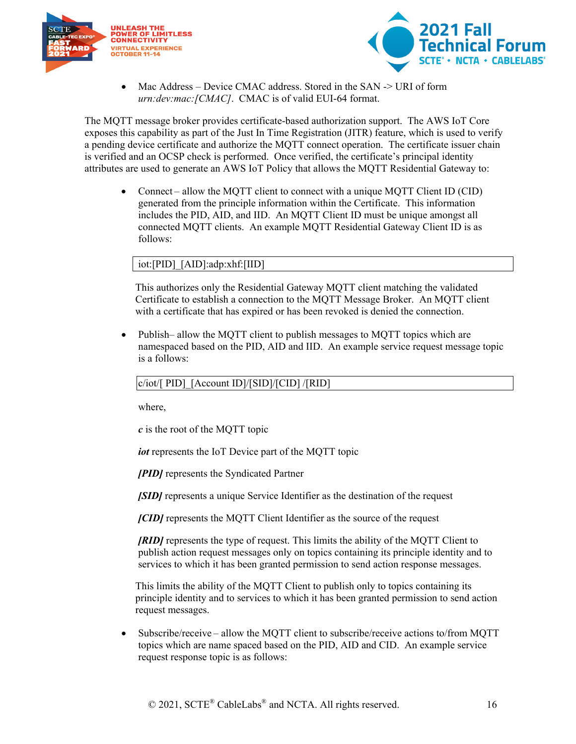



Mac Address – Device CMAC address. Stored in the SAN -> URI of form *urn:dev:mac:[CMAC]*. CMAC is of valid EUI-64 format.

The MQTT message broker provides certificate-based authorization support. The AWS IoT Core exposes this capability as part of the Just In Time Registration (JITR) feature, which is used to verify a pending device certificate and authorize the MQTT connect operation. The certificate issuer chain is verified and an OCSP check is performed. Once verified, the certificate's principal identity attributes are used to generate an AWS IoT Policy that allows the MQTT Residential Gateway to:

• Connect – allow the MQTT client to connect with a unique MQTT Client ID (CID) generated from the principle information within the Certificate. This information includes the PID, AID, and IID. An MQTT Client ID must be unique amongst all connected MQTT clients. An example MQTT Residential Gateway Client ID is as follows:

#### iot:[PID]\_[AID]:adp:xhf:[IID]

This authorizes only the Residential Gateway MQTT client matching the validated Certificate to establish a connection to the MQTT Message Broker. An MQTT client with a certificate that has expired or has been revoked is denied the connection.

• Publish– allow the MQTT client to publish messages to MQTT topics which are namespaced based on the PID, AID and IID. An example service request message topic is a follows:

#### c/iot/[ PID]\_[Account ID]/[SID]/[CID] /[RID]

where,

*c* is the root of the MQTT topic

*iot* represents the IoT Device part of the MQTT topic

*[PID]* represents the Syndicated Partner

*[SID]* represents a unique Service Identifier as the destination of the request

*[CID]* represents the MQTT Client Identifier as the source of the request

*[RID]* represents the type of request. This limits the ability of the MQTT Client to publish action request messages only on topics containing its principle identity and to services to which it has been granted permission to send action response messages.

This limits the ability of the MQTT Client to publish only to topics containing its principle identity and to services to which it has been granted permission to send action request messages.

• Subscribe/receive – allow the MQTT client to subscribe/receive actions to/from MQTT topics which are name spaced based on the PID, AID and CID. An example service request response topic is as follows: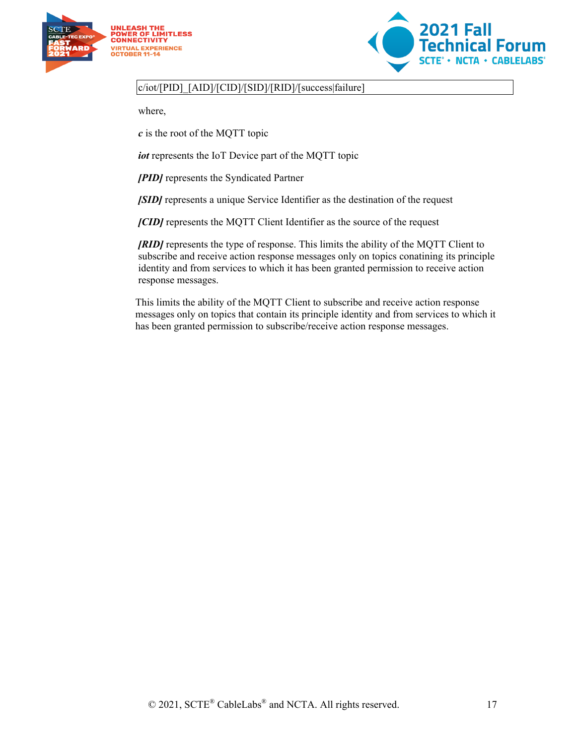



#### c/iot/[PID]\_[AID]/[CID]/[SID]/[RID]/[success|failure]

where,

*c* is the root of the MQTT topic

*iot* represents the IoT Device part of the MQTT topic

*[PID]* represents the Syndicated Partner

*[SID]* represents a unique Service Identifier as the destination of the request

*[CID]* represents the MQTT Client Identifier as the source of the request

*[RID]* represents the type of response. This limits the ability of the MQTT Client to subscribe and receive action response messages only on topics conatining its principle identity and from services to which it has been granted permission to receive action response messages.

This limits the ability of the MQTT Client to subscribe and receive action response messages only on topics that contain its principle identity and from services to which it has been granted permission to subscribe/receive action response messages.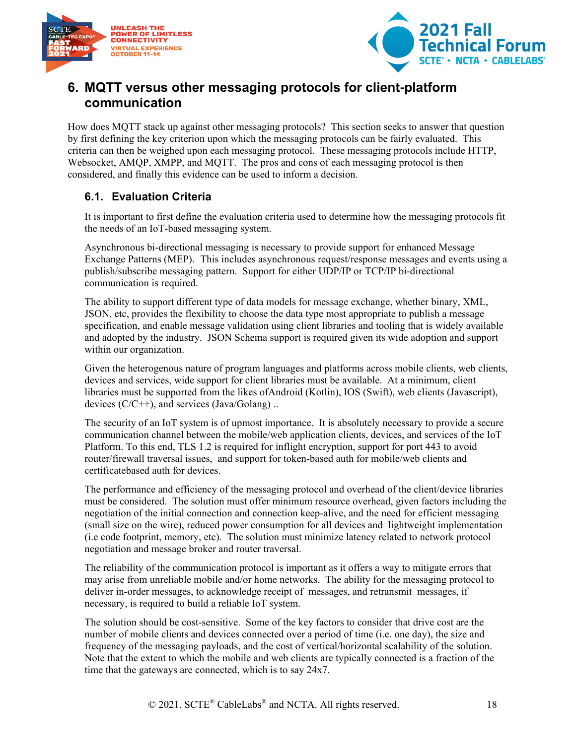



## <span id="page-17-0"></span>**6. MQTT versus other messaging protocols for client-platform communication**

How does MQTT stack up against other messaging protocols? This section seeks to answer that question by first defining the key criterion upon which the messaging protocols can be fairly evaluated. This criteria can then be weighed upon each messaging protocol. These messaging protocols include HTTP, Websocket, AMQP, XMPP, and MQTT. The pros and cons of each messaging protocol is then considered, and finally this evidence can be used to inform a decision.

#### <span id="page-17-1"></span>**6.1. Evaluation Criteria**

It is important to first define the evaluation criteria used to determine how the messaging protocols fit the needs of an IoT-based messaging system.

Asynchronous bi-directional messaging is necessary to provide support for enhanced Message Exchange Patterns (MEP). This includes asynchronous request/response messages and events using a publish/subscribe messaging pattern. Support for either UDP/IP or TCP/IP bi-directional communication is required.

The ability to support different type of data models for message exchange, whether binary, XML, JSON, etc, provides the flexibility to choose the data type most appropriate to publish a message specification, and enable message validation using client libraries and tooling that is widely available and adopted by the industry. JSON Schema support is required given its wide adoption and support within our organization.

Given the heterogenous nature of program languages and platforms across mobile clients, web clients, devices and services, wide support for client libraries must be available. At a minimum, client libraries must be supported from the likes ofAndroid (Kotlin), IOS (Swift), web clients (Javascript), devices  $(C/C++)$ , and services (Java/Golang) ..

The security of an IoT system is of upmost importance. It is absolutely necessary to provide a secure communication channel between the mobile/web application clients, devices, and services of the IoT Platform. To this end, TLS 1.2 is required for inflight encryption, support for port 443 to avoid router/firewall traversal issues, and support for token-based auth for mobile/web clients and certificatebased auth for devices.

The performance and efficiency of the messaging protocol and overhead of the client/device libraries must be considered. The solution must offer minimum resource overhead, given factors including the negotiation of the initial connection and connection keep-alive, and the need for efficient messaging (small size on the wire), reduced power consumption for all devices and lightweight implementation (i.e code footprint, memory, etc). The solution must minimize latency related to network protocol negotiation and message broker and router traversal.

The reliability of the communication protocol is important as it offers a way to mitigate errors that may arise from unreliable mobile and/or home networks. The ability for the messaging protocol to deliver in-order messages, to acknowledge receipt of messages, and retransmit messages, if necessary, is required to build a reliable IoT system.

The solution should be cost-sensitive. Some of the key factors to consider that drive cost are the number of mobile clients and devices connected over a period of time (i.e. one day), the size and frequency of the messaging payloads, and the cost of vertical/horizontal scalability of the solution. Note that the extent to which the mobile and web clients are typically connected is a fraction of the time that the gateways are connected, which is to say 24x7.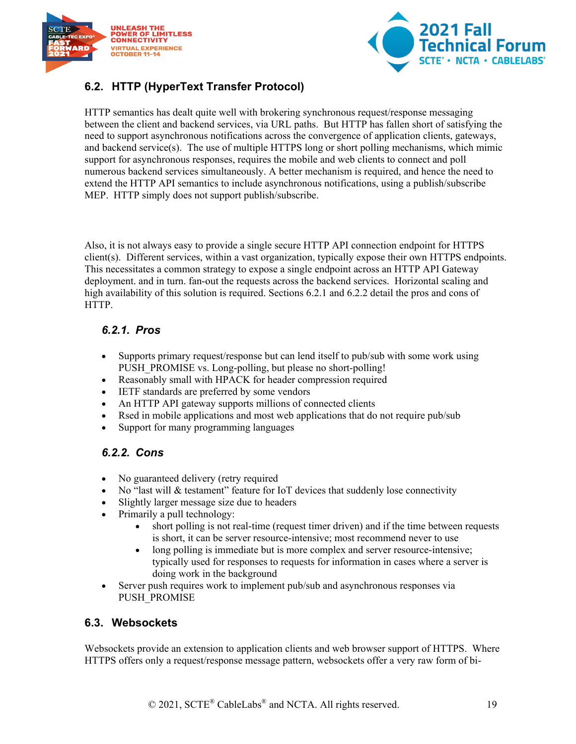



### <span id="page-18-0"></span>**6.2. HTTP (HyperText Transfer Protocol)**

HTTP semantics has dealt quite well with brokering synchronous request/response messaging between the client and backend services, via URL paths. But HTTP has fallen short of satisfying the need to support asynchronous notifications across the convergence of application clients, gateways, and backend service(s). The use of multiple HTTPS long or short polling mechanisms, which mimic support for asynchronous responses, requires the mobile and web clients to connect and poll numerous backend services simultaneously. A better mechanism is required, and hence the need to extend the HTTP API semantics to include asynchronous notifications, using a publish/subscribe MEP. HTTP simply does not support publish/subscribe.

Also, it is not always easy to provide a single secure HTTP API connection endpoint for HTTPS client(s). Different services, within a vast organization, typically expose their own HTTPS endpoints. This necessitates a common strategy to expose a single endpoint across an HTTP API Gateway deployment. and in turn. fan-out the requests across the backend services. Horizontal scaling and high availability of this solution is required. Sections 6.2.1 and 6.2.2 detail the pros and cons of HTTP.

#### <span id="page-18-1"></span>*6.2.1. Pros*

- Supports primary request/response but can lend itself to pub/sub with some work using PUSH\_PROMISE vs. Long-polling, but please no short-polling!
- Reasonably small with HPACK for header compression required
- IETF standards are preferred by some vendors
- An HTTP API gateway supports millions of connected clients
- Rsed in mobile applications and most web applications that do not require pub/sub
- Support for many programming languages

#### <span id="page-18-2"></span>*6.2.2. Cons*

- No guaranteed delivery (retry required
- No "last will & testament" feature for IoT devices that suddenly lose connectivity
- Slightly larger message size due to headers
- Primarily a pull technology:
	- short polling is not real-time (request timer driven) and if the time between requests is short, it can be server resource-intensive; most recommend never to use
	- long polling is immediate but is more complex and server resource-intensive; typically used for responses to requests for information in cases where a server is doing work in the background
- Server push requires work to implement pub/sub and asynchronous responses via PUSH\_PROMISE

#### <span id="page-18-3"></span>**6.3. Websockets**

Websockets provide an extension to application clients and web browser support of HTTPS. Where HTTPS offers only a request/response message pattern, websockets offer a very raw form of bi-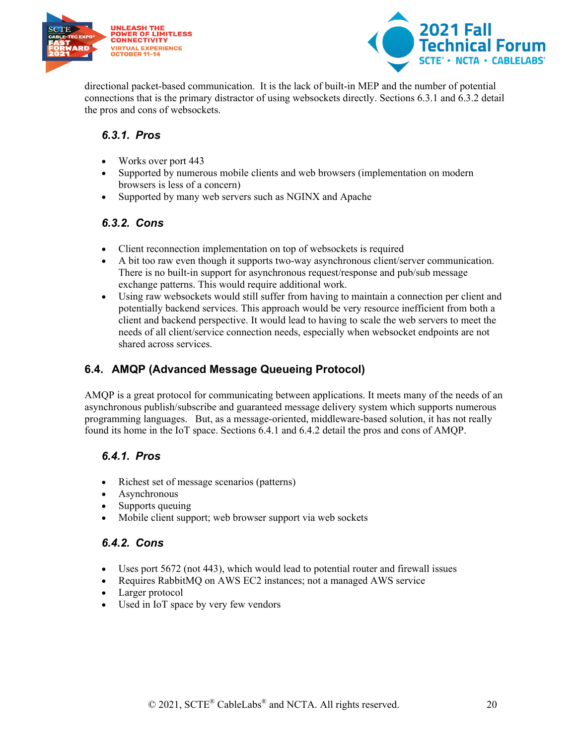



directional packet-based communication. It is the lack of built-in MEP and the number of potential connections that is the primary distractor of using websockets directly. Sections 6.3.1 and 6.3.2 detail the pros and cons of websockets.

#### <span id="page-19-0"></span>*6.3.1. Pros*

- Works over port 443
- Supported by numerous mobile clients and web browsers (implementation on modern browsers is less of a concern)
- Supported by many web servers such as NGINX and Apache

#### <span id="page-19-1"></span>*6.3.2. Cons*

- Client reconnection implementation on top of websockets is required
- A bit too raw even though it supports two-way asynchronous client/server communication. There is no built-in support for asynchronous request/response and pub/sub message exchange patterns. This would require additional work.
- Using raw websockets would still suffer from having to maintain a connection per client and potentially backend services. This approach would be very resource inefficient from both a client and backend perspective. It would lead to having to scale the web servers to meet the needs of all client/service connection needs, especially when websocket endpoints are not shared across services.

### <span id="page-19-2"></span>**6.4. AMQP (Advanced Message Queueing Protocol)**

AMQP is a great protocol for communicating between applications. It meets many of the needs of an asynchronous publish/subscribe and guaranteed message delivery system which supports numerous programming languages. But, as a message-oriented, middleware-based solution, it has not really found its home in the IoT space. Sections 6.4.1 and 6.4.2 detail the pros and cons of AMQP.

### <span id="page-19-3"></span>*6.4.1. Pros*

- Richest set of message scenarios (patterns)
- **Asynchronous**
- Supports queuing
- Mobile client support; web browser support via web sockets

#### <span id="page-19-4"></span>*6.4.2. Cons*

- Uses port 5672 (not 443), which would lead to potential router and firewall issues
- Requires RabbitMQ on AWS EC2 instances; not a managed AWS service
- Larger protocol
- Used in IoT space by very few vendors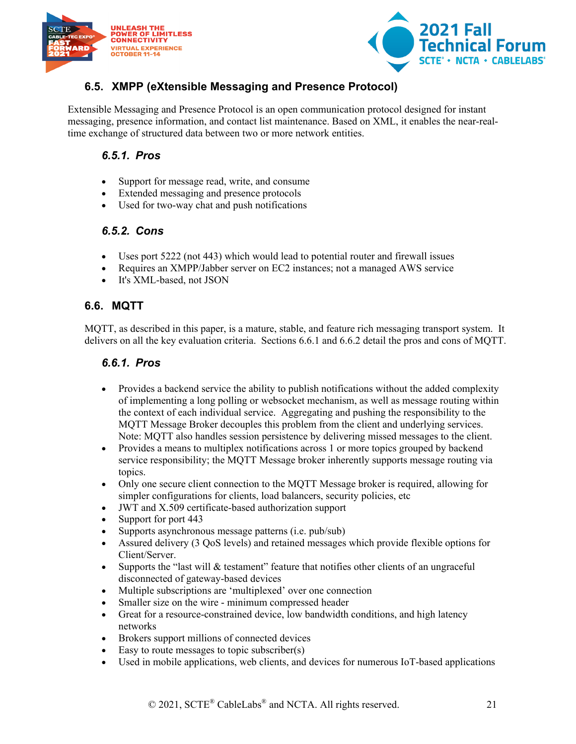



### <span id="page-20-0"></span>**6.5. XMPP (eXtensible Messaging and Presence Protocol)**

<span id="page-20-1"></span>Extensible Messaging and Presence Protocol is an open communication protocol designed for instant messaging, presence information, and contact list maintenance. Based on XML, it enables the near-realtime exchange of structured data between two or more network entities.

#### *6.5.1. Pros*

- Support for message read, write, and consume
- Extended messaging and presence protocols
- Used for two-way chat and push notifications

#### <span id="page-20-2"></span>*6.5.2. Cons*

- Uses port 5222 (not 443) which would lead to potential router and firewall issues
- Requires an XMPP/Jabber server on EC2 instances; not a managed AWS service
- It's XML-based, not JSON

#### <span id="page-20-3"></span>**6.6. MQTT**

<span id="page-20-4"></span>MQTT, as described in this paper, is a mature, stable, and feature rich messaging transport system. It delivers on all the key evaluation criteria. Sections 6.6.1 and 6.6.2 detail the pros and cons of MQTT.

#### *6.6.1. Pros*

- Provides a backend service the ability to publish notifications without the added complexity of implementing a long polling or websocket mechanism, as well as message routing within the context of each individual service. Aggregating and pushing the responsibility to the MQTT Message Broker decouples this problem from the client and underlying services. Note: MQTT also handles session persistence by delivering missed messages to the client.
- Provides a means to multiplex notifications across 1 or more topics grouped by backend service responsibility; the MQTT Message broker inherently supports message routing via topics.
- Only one secure client connection to the MQTT Message broker is required, allowing for simpler configurations for clients, load balancers, security policies, etc
- JWT and X.509 certificate-based authorization support
- Support for port 443
- Supports asynchronous message patterns (i.e. pub/sub)
- Assured delivery (3 QoS levels) and retained messages which provide flexible options for Client/Server.
- Supports the "last will & testament" feature that notifies other clients of an ungraceful disconnected of gateway-based devices
- Multiple subscriptions are 'multiplexed' over one connection
- Smaller size on the wire minimum compressed header
- Great for a resource-constrained device, low bandwidth conditions, and high latency networks
- Brokers support millions of connected devices
- Easy to route messages to topic subscriber(s)
- Used in mobile applications, web clients, and devices for numerous IoT-based applications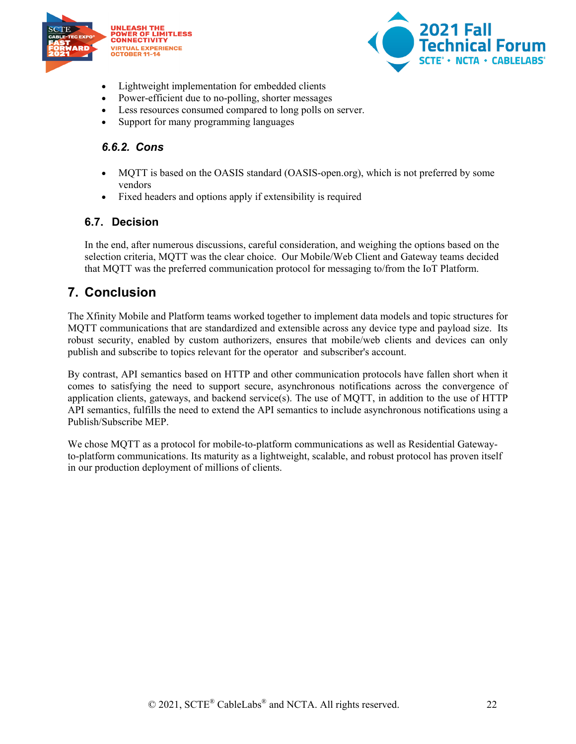



- Lightweight implementation for embedded clients
- Power-efficient due to no-polling, shorter messages
- Less resources consumed compared to long polls on server.
- Support for many programming languages

#### <span id="page-21-0"></span>*6.6.2. Cons*

- MQTT is based on the OASIS standard (OASIS-open.org), which is not preferred by some vendors
- Fixed headers and options apply if extensibility is required

#### <span id="page-21-1"></span>**6.7. Decision**

In the end, after numerous discussions, careful consideration, and weighing the options based on the selection criteria, MQTT was the clear choice. Our Mobile/Web Client and Gateway teams decided that MQTT was the preferred communication protocol for messaging to/from the IoT Platform.

## <span id="page-21-2"></span>**7. Conclusion**

The Xfinity Mobile and Platform teams worked together to implement data models and topic structures for MQTT communications that are standardized and extensible across any device type and payload size. Its robust security, enabled by custom authorizers, ensures that mobile/web clients and devices can only publish and subscribe to topics relevant for the operator and subscriber's account.

By contrast, API semantics based on HTTP and other communication protocols have fallen short when it comes to satisfying the need to support secure, asynchronous notifications across the convergence of application clients, gateways, and backend service(s). The use of MQTT, in addition to the use of HTTP API semantics, fulfills the need to extend the API semantics to include asynchronous notifications using a Publish/Subscribe MEP.

We chose MQTT as a protocol for mobile-to-platform communications as well as Residential Gatewayto-platform communications. Its maturity as a lightweight, scalable, and robust protocol has proven itself in our production deployment of millions of clients.